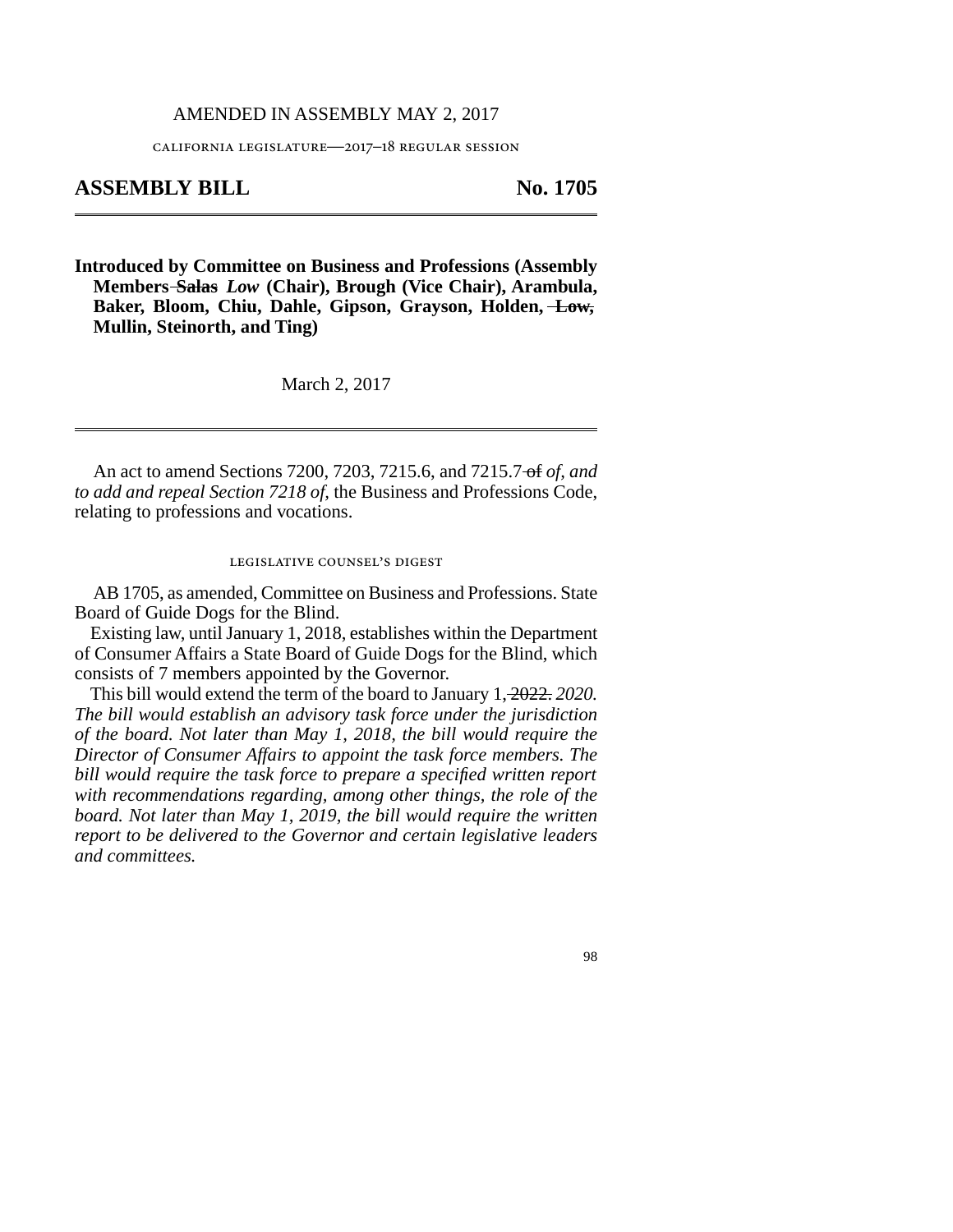## AMENDED IN ASSEMBLY MAY 2, 2017

california legislature—2017–18 regular session

## **ASSEMBLY BILL No. 1705**

**Introduced by Committee on Business and Professions (Assembly Members Salas** *Low* **(Chair), Brough (Vice Chair), Arambula, Baker, Bloom, Chiu, Dahle, Gipson, Grayson, Holden, Low, Mullin, Steinorth, and Ting)**

March 2, 2017

An act to amend Sections 7200, 7203, 7215.6, and 7215.7 of *of, and to add and repeal Section 7218 of,* the Business and Professions Code, relating to professions and vocations.

legislative counsel's digest

AB 1705, as amended, Committee on Business and Professions. State Board of Guide Dogs for the Blind.

Existing law, until January 1, 2018, establishes within the Department of Consumer Affairs a State Board of Guide Dogs for the Blind, which consists of 7 members appointed by the Governor.

This bill would extend the term of the board to January 1, 2022. *2020. The bill would establish an advisory task force under the jurisdiction of the board. Not later than May 1, 2018, the bill would require the Director of Consumer Affairs to appoint the task force members. The bill would require the task force to prepare a specified written report with recommendations regarding, among other things, the role of the board. Not later than May 1, 2019, the bill would require the written report to be delivered to the Governor and certain legislative leaders and committees.*

98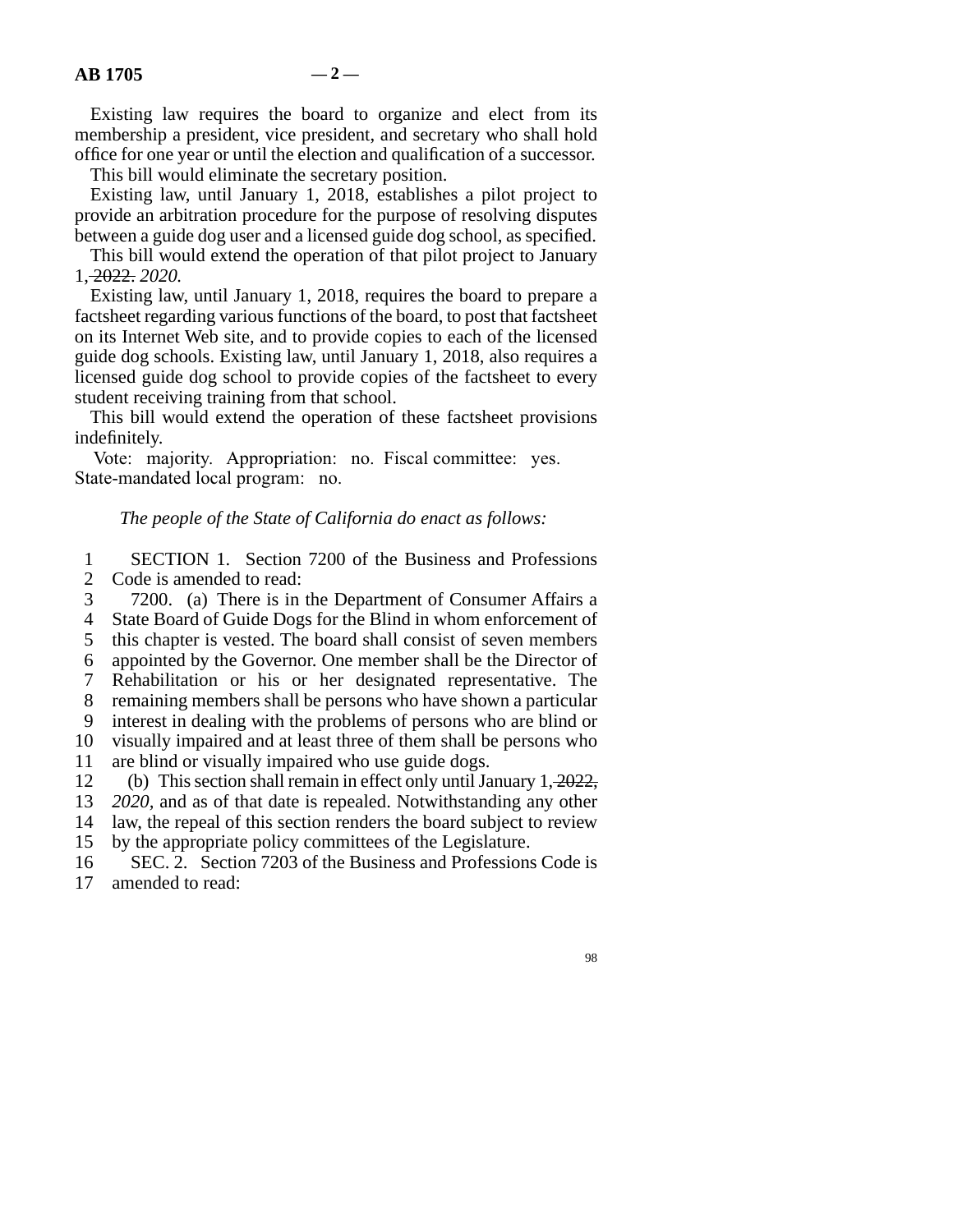Existing law requires the board to organize and elect from its membership a president, vice president, and secretary who shall hold office for one year or until the election and qualification of a successor.

This bill would eliminate the secretary position.

Existing law, until January 1, 2018, establishes a pilot project to provide an arbitration procedure for the purpose of resolving disputes between a guide dog user and a licensed guide dog school, as specified.

This bill would extend the operation of that pilot project to January 1, 2022. *2020.*

Existing law, until January 1, 2018, requires the board to prepare a factsheet regarding various functions of the board, to post that factsheet on its Internet Web site, and to provide copies to each of the licensed guide dog schools. Existing law, until January 1, 2018, also requires a licensed guide dog school to provide copies of the factsheet to every student receiving training from that school.

This bill would extend the operation of these factsheet provisions indefinitely.

Vote: majority. Appropriation: no. Fiscal committee: yes. State-mandated local program: no.

## *The people of the State of California do enact as follows:*

1 SECTION 1. Section 7200 of the Business and Professions 2 Code is amended to read:

- 3 7200. (a) There is in the Department of Consumer Affairs a
- 4 State Board of Guide Dogs for the Blind in whom enforcement of
- 5 this chapter is vested. The board shall consist of seven members
- line 6 appointed by the Governor. One member shall be the Director of
- 7 Rehabilitation or his or her designated representative. The
- 8 remaining members shall be persons who have shown a particular

line 9 interest in dealing with the problems of persons who are blind or

10 visually impaired and at least three of them shall be persons who

11 are blind or visually impaired who use guide dogs.

12 (b) This section shall remain in effect only until January  $1, \frac{2022}{3}$ ,

13 *2020*, and as of that date is repealed. Notwithstanding any other

- 14 law, the repeal of this section renders the board subject to review
- 15 by the appropriate policy committees of the Legislature.
- 16 SEC. 2. Section 7203 of the Business and Professions Code is 17 amended to read: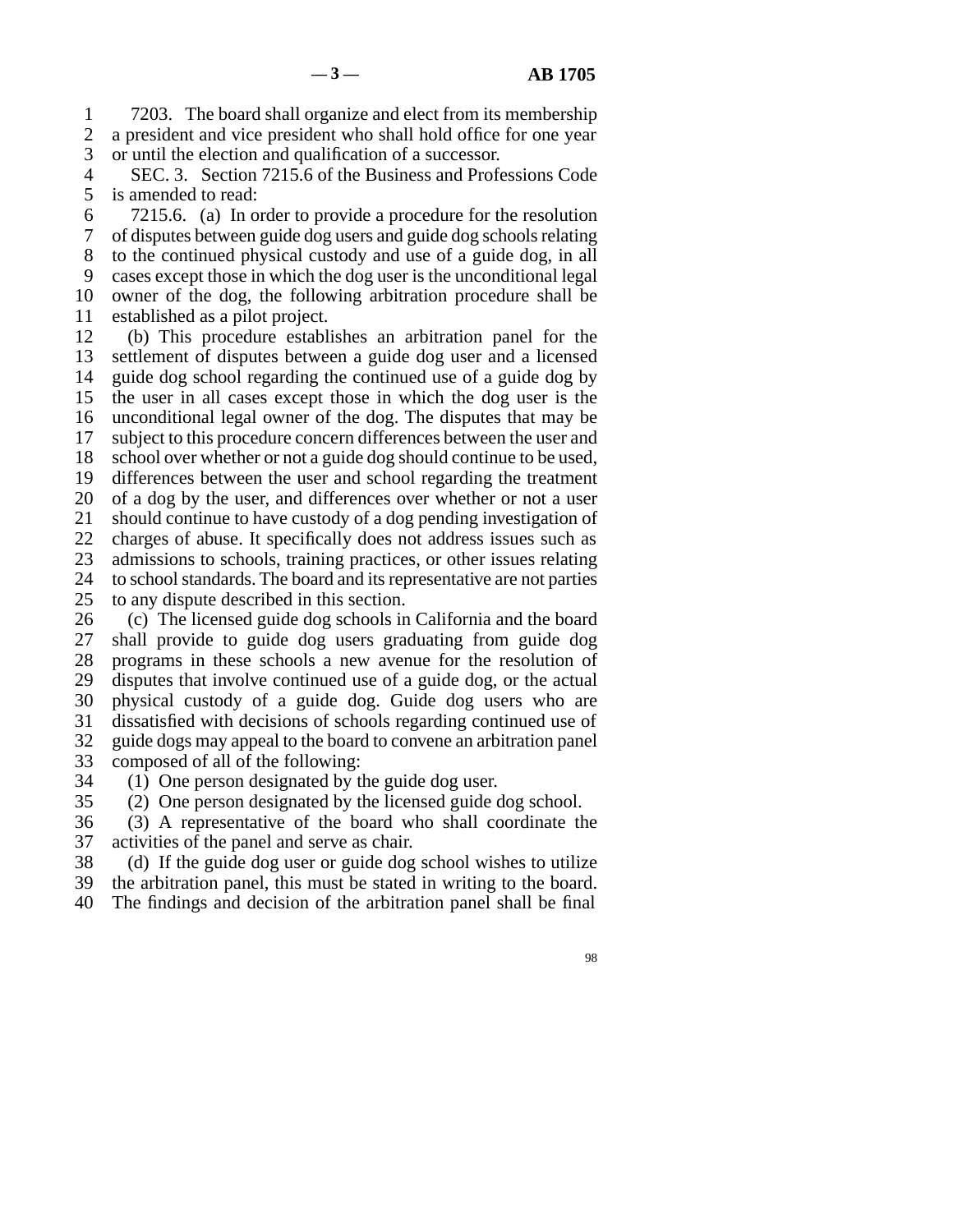1 7203. The board shall organize and elect from its membership 2 a president and vice president who shall hold office for one year<br>3 or until the election and qualification of a successor. or until the election and qualification of a successor.

4 SEC. 3. Section 7215.6 of the Business and Professions Code 5 is amended to read:

 line 6 7215.6. (a) In order to provide a procedure for the resolution line 7 of disputes between guide dog users and guide dog schools relating 8 to the continued physical custody and use of a guide dog, in all 9 cases except those in which the dog user is the unconditional legal 10 owner of the dog, the following arbitration procedure shall be 11 established as a pilot project.

12 (b) This procedure establishes an arbitration panel for the 13 settlement of disputes between a guide dog user and a licensed 14 guide dog school regarding the continued use of a guide dog by 15 the user in all cases except those in which the dog user is the 16 unconditional legal owner of the dog. The disputes that may be 17 subject to this procedure concern differences between the user and 18 school over whether or not a guide dog should continue to be used, 19 differences between the user and school regarding the treatment 20 of a dog by the user, and differences over whether or not a user 21 should continue to have custody of a dog pending investigation of 22 charges of abuse. It specifically does not address issues such as 23 admissions to schools, training practices, or other issues relating 24 to school standards. The board and its representative are not parties 25 to any dispute described in this section. to any dispute described in this section.

26 (c) The licensed guide dog schools in California and the board<br>27 shall provide to guide dog users graduating from guide dog shall provide to guide dog users graduating from guide dog 28 programs in these schools a new avenue for the resolution of 29 disputes that involve continued use of a guide dog, or the actual 30 physical custody of a guide dog. Guide dog users who are 31 dissatisfied with decisions of schools regarding continued use of 32 guide dogs may appeal to the board to convene an arbitration panel 33 composed of all of the following:

34 (1) One person designated by the guide dog user.

35 (2) One person designated by the licensed guide dog school.

36 (3) A representative of the board who shall coordinate the 37 activities of the panel and serve as chair.

38 (d) If the guide dog user or guide dog school wishes to utilize

39 the arbitration panel, this must be stated in writing to the board.

40 The findings and decision of the arbitration panel shall be final

98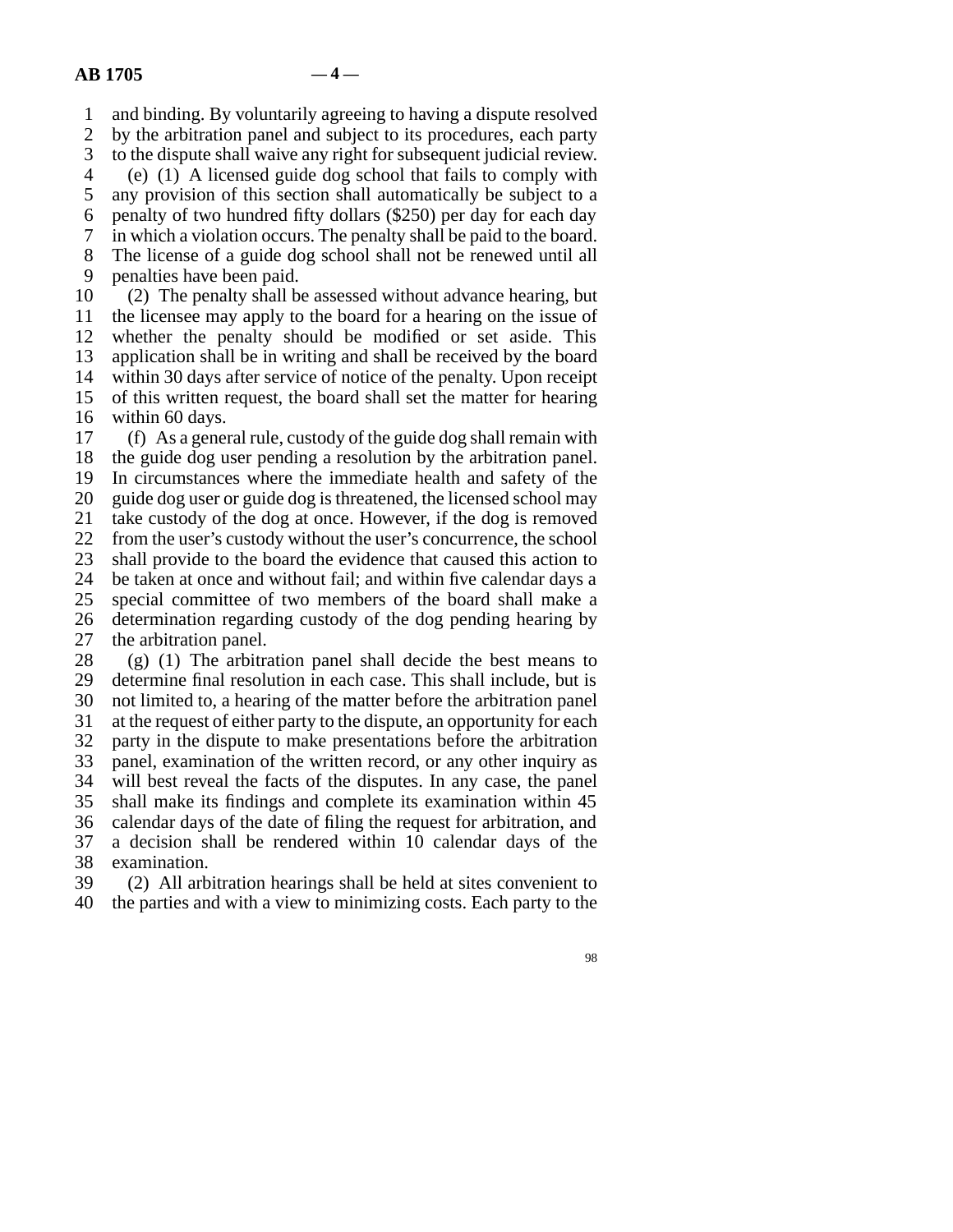line 1 and binding. By voluntarily agreeing to having a dispute resolved 2 by the arbitration panel and subject to its procedures, each party<br>3 to the dispute shall waive any right for subsequent judicial review.

to the dispute shall waive any right for subsequent judicial review. line 4 (e) (1) A licensed guide dog school that fails to comply with

5 any provision of this section shall automatically be subject to a

6 penalty of two hundred fifty dollars  $(\$250)$  per day for each day

line 7 in which a violation occurs. The penalty shall be paid to the board.

8 The license of a guide dog school shall not be renewed until all

9 penalties have been paid.

10 (2) The penalty shall be assessed without advance hearing, but 11 the licensee may apply to the board for a hearing on the issue of 12 whether the penalty should be modified or set aside. This 13 application shall be in writing and shall be received by the board 14 within 30 days after service of notice of the penalty. Upon receipt 15 of this written request, the board shall set the matter for hearing 16 within 60 days.

17 (f) As a general rule, custody of the guide dog shall remain with 18 the guide dog user pending a resolution by the arbitration panel. 19 In circumstances where the immediate health and safety of the 20 guide dog user or guide dog is threatened, the licensed school may 21 take custody of the dog at once. However, if the dog is removed 22 from the user's custody without the user's concurrence, the school 23 shall provide to the board the evidence that caused this action to 24 be taken at once and without fail; and within five calendar days a<br>25 special committee of two members of the board shall make a special committee of two members of the board shall make a 26 determination regarding custody of the dog pending hearing by 27 the arbitration panel. 28 (g) (1) The arbitration panel shall decide the best means to

29 determine final resolution in each case. This shall include, but is 30 not limited to, a hearing of the matter before the arbitration panel 31 at the request of either party to the dispute, an opportunity for each 32 party in the dispute to make presentations before the arbitration 33 panel, examination of the written record, or any other inquiry as 34 will best reveal the facts of the disputes. In any case, the panel 35 shall make its findings and complete its examination within 45 36 calendar days of the date of filing the request for arbitration, and 37 a decision shall be rendered within 10 calendar days of the 38 examination.

39 (2) All arbitration hearings shall be held at sites convenient to 40 the parties and with a view to minimizing costs. Each party to the

98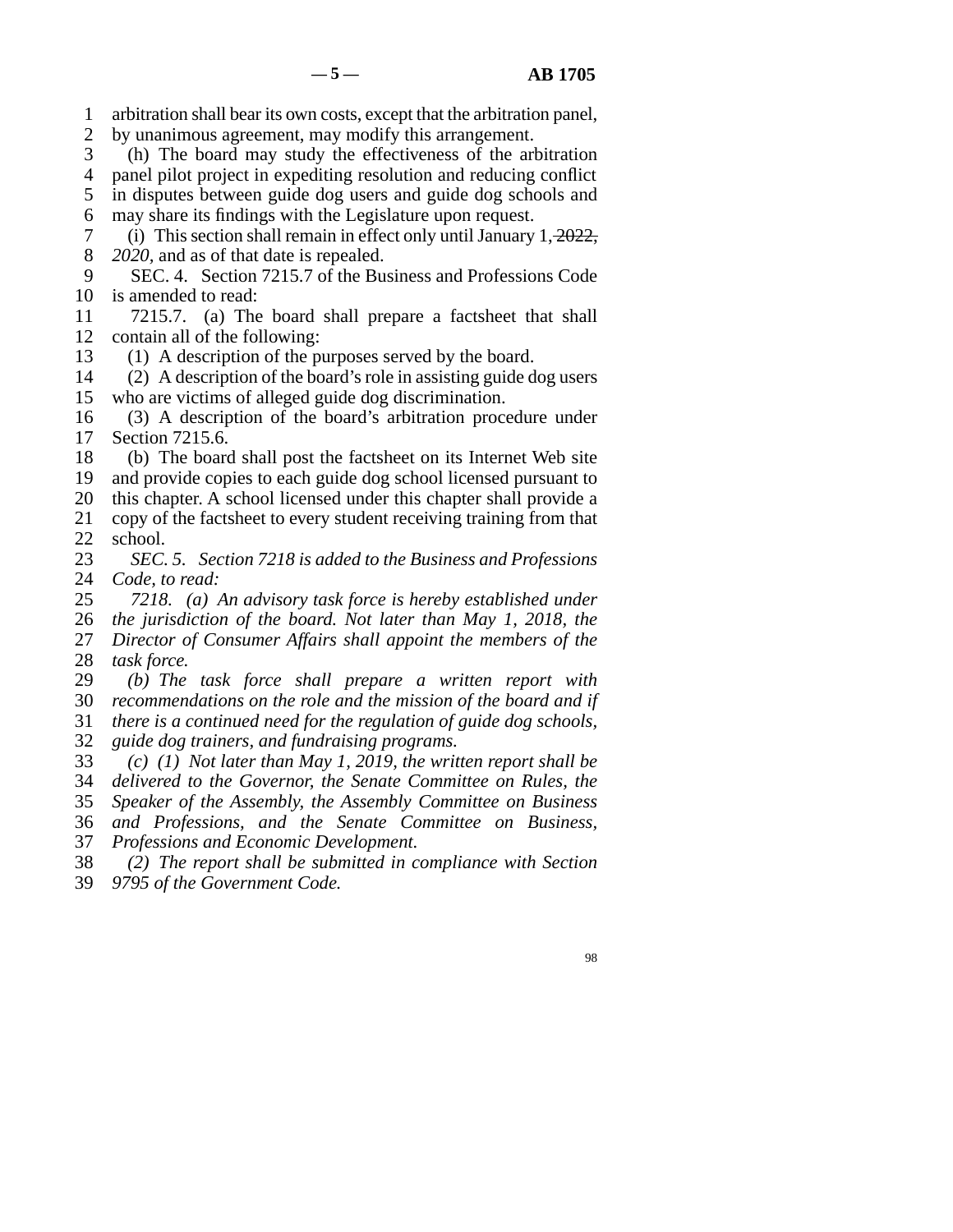- line 1 arbitration shall bear its own costs, except that the arbitration panel,
- 2 by unanimous agreement, may modify this arrangement.
- 3 (h) The board may study the effectiveness of the arbitration
- 4 panel pilot project in expediting resolution and reducing conflict
- 5 in disputes between guide dog users and guide dog schools and 6 may share its findings with the Legislature upon request.
- 7 (i) This section shall remain in effect only until January  $1, \frac{2022}{3}$ , 8 *2020*, and as of that date is repealed.
- 9 SEC. 4. Section 7215.7 of the Business and Professions Code 10 is amended to read:
- 11 7215.7. (a) The board shall prepare a factsheet that shall 12 contain all of the following:
- 13 (1) A description of the purposes served by the board.
- 14 (2) A description of the board's role in assisting guide dog users 15 who are victims of alleged guide dog discrimination.
- 16 (3) A description of the board's arbitration procedure under 17 Section 7215.6.
- 18 (b) The board shall post the factsheet on its Internet Web site 19 and provide copies to each guide dog school licensed pursuant to 20 this chapter. A school licensed under this chapter shall provide a
- 21 copy of the factsheet to every student receiving training from that 22 school.<br>23  $SEC.$
- 23 *SEC. 5. Section 7218 is added to the Business and Professions* 24 *Code, to read:*
- 24 *Code, to read:*<br>25 7218. (a) line 25 *7218. (a) An advisory task force is hereby established under*
- line 26 *the jurisdiction of the board. Not later than May 1, 2018, the*
- 27 *Director of Consumer Affairs shall appoint the members of the* 28 *task force.*
- 29 (b) The task force shall prepare a written report with
- 30 *recommendations on the role and the mission of the board and if* line 31 *there is a continued need for the regulation of guide dog schools,*
- line 32 *guide dog trainers, and fundraising programs.*
- line 33 *(c) (1) Not later than May 1, 2019, the written report shall be*
- line 34 *delivered to the Governor, the Senate Committee on Rules, the*
- line 35 *Speaker of the Assembly, the Assembly Committee on Business*
- line 36 *and Professions, and the Senate Committee on Business,*
- 37 *Professions and Economic Development.*
- line 38 *(2) The report shall be submitted in compliance with Section* line 39 *9795 of the Government Code.*